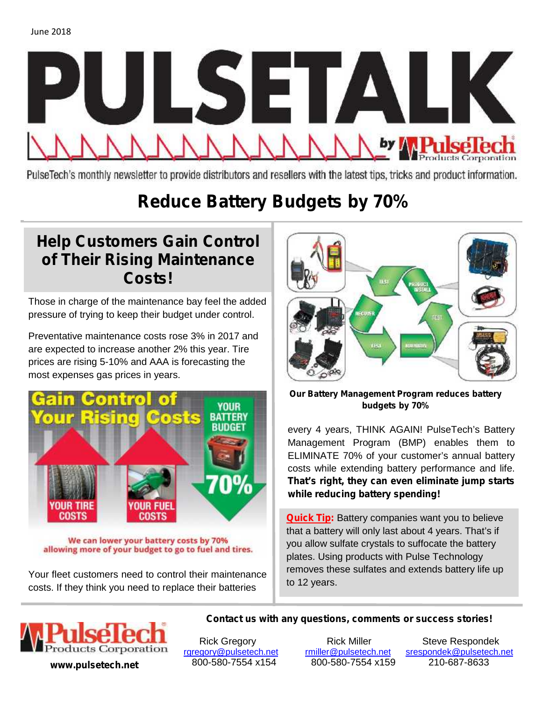

PulseTech's monthly newsletter to provide distributors and resellers with the latest tips, tricks and product information.

# **Reduce Battery Budgets by 70%**

### **Help Customers Gain Control of Their Rising Maintenance Costs!**

Those in charge of the maintenance bay feel the added pressure of trying to keep their budget under control.

Preventative maintenance costs rose 3% in 2017 and are expected to increase another 2% this year. Tire prices are rising 5-10% and AAA is forecasting the most expenses gas prices in years.



We can lower your battery costs by 70% allowing more of your budget to go to fuel and tires.

Your fleet customers need to control their maintenance costs. If they think you need to replace their batteries



**Our Battery Management Program reduces battery budgets by 70%**

every 4 years, THINK AGAIN! PulseTech's Battery Management Program (BMP) enables them to ELIMINATE 70% of your customer's annual battery costs while extending battery performance and life. **That's right, they can even eliminate jump starts while reducing battery spending!**

**Quick Tip:** Battery companies want you to believe that a battery will only last about 4 years. That's if you allow sulfate crystals to suffocate the battery plates. Using products with Pulse Technology removes these sulfates and extends battery life up to 12 years.



**www.pulsetech.net** 800-580-7554 x154 800-580-7554 x159 210-687-8633

**Contact us with any questions, comments or success stories!**

Rick Gregory **Rick Miller** Steve Respondek rgregory@pulsetech.net rmiller@pulsetech.net srespondek@pulsetech.net